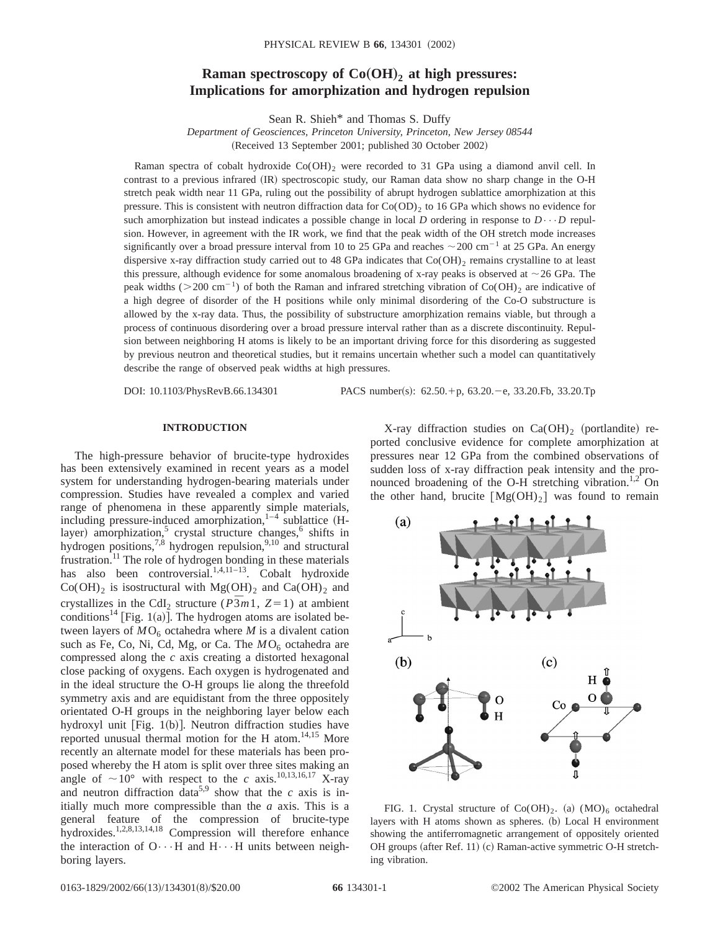# **Raman spectroscopy of**  $Co(OH)_2$  **at high pressures: Implications for amorphization and hydrogen repulsion**

Sean R. Shieh\* and Thomas S. Duffy

*Department of Geosciences, Princeton University, Princeton, New Jersey 08544* (Received 13 September 2001; published 30 October 2002)

Raman spectra of cobalt hydroxide  $Co(OH)$ <sub>2</sub> were recorded to 31 GPa using a diamond anvil cell. In contrast to a previous infrared (IR) spectroscopic study, our Raman data show no sharp change in the O-H stretch peak width near 11 GPa, ruling out the possibility of abrupt hydrogen sublattice amorphization at this pressure. This is consistent with neutron diffraction data for  $Co(OD)_{2}$  to 16 GPa which shows no evidence for such amorphization but instead indicates a possible change in local *D* ordering in response to  $D \cdots D$  repulsion. However, in agreement with the IR work, we find that the peak width of the OH stretch mode increases significantly over a broad pressure interval from 10 to 25 GPa and reaches  $\sim$  200 cm<sup>-1</sup> at 25 GPa. An energy dispersive x-ray diffraction study carried out to 48 GPa indicates that  $Co(OH)_2$  remains crystalline to at least this pressure, although evidence for some anomalous broadening of x-ray peaks is observed at  $\sim$  26 GPa. The peak widths ( $>$ 200 cm<sup>-1</sup>) of both the Raman and infrared stretching vibration of Co(OH)<sub>2</sub> are indicative of a high degree of disorder of the H positions while only minimal disordering of the Co-O substructure is allowed by the x-ray data. Thus, the possibility of substructure amorphization remains viable, but through a process of continuous disordering over a broad pressure interval rather than as a discrete discontinuity. Repulsion between neighboring H atoms is likely to be an important driving force for this disordering as suggested by previous neutron and theoretical studies, but it remains uncertain whether such a model can quantitatively describe the range of observed peak widths at high pressures.

DOI: 10.1103/PhysRevB.66.134301 PACS number(s): 62.50.+p, 63.20.-e, 33.20.Fb, 33.20.Tp

## **INTRODUCTION**

The high-pressure behavior of brucite-type hydroxides has been extensively examined in recent years as a model system for understanding hydrogen-bearing materials under compression. Studies have revealed a complex and varied range of phenomena in these apparently simple materials, including pressure-induced amorphization, $1-4$  sublattice (Hlayer) amorphization,<sup>5</sup> crystal structure changes,<sup>6</sup> shifts in hydrogen positions,<sup>7,8</sup> hydrogen repulsion,<sup>9,10</sup> and structural frustration.<sup>11</sup> The role of hydrogen bonding in these materials has also been controversial.<sup>1,4,11-13</sup>. Cobalt hydroxide  $Co(OH)_2$  is isostructural with  $Mg(OH)_2$  and  $Ca(OH)_2$  and crystallizes in the CdI<sub>2</sub> structure ( $P\overline{3}m1$ ,  $Z=1$ ) at ambient conditions<sup>14</sup> [Fig. 1(a)]. The hydrogen atoms are isolated between layers of  $MO_6$  octahedra where *M* is a divalent cation such as Fe, Co, Ni, Cd, Mg, or Ca. The  $MO<sub>6</sub>$  octahedra are compressed along the *c* axis creating a distorted hexagonal close packing of oxygens. Each oxygen is hydrogenated and in the ideal structure the O-H groups lie along the threefold symmetry axis and are equidistant from the three oppositely orientated O-H groups in the neighboring layer below each hydroxyl unit  $[Fig. 1(b)]$ . Neutron diffraction studies have reported unusual thermal motion for the H atom. $14,15$  More recently an alternate model for these materials has been proposed whereby the H atom is split over three sites making an angle of  $\sim 10^{\circ}$  with respect to the *c* axis.<sup>10,13,16,17</sup> X-ray and neutron diffraction data<sup>5,9</sup> show that the *c* axis is initially much more compressible than the *a* axis. This is a general feature of the compression of brucite-type hydroxides.<sup>1,2,8,13,14,18</sup> Compression will therefore enhance the interaction of  $O \cdots H$  and  $H \cdots H$  units between neighboring layers.

X-ray diffraction studies on  $Ca(OH)_2$  (portlandite) reported conclusive evidence for complete amorphization at pressures near 12 GPa from the combined observations of sudden loss of x-ray diffraction peak intensity and the pronounced broadening of the O-H stretching vibration.<sup>1,2</sup> On the other hand, brucite  $[Mg(OH)_2]$  was found to remain



FIG. 1. Crystal structure of  $Co(OH)_2$ . (a)  $(MO)_6$  octahedral layers with H atoms shown as spheres. (b) Local H environment showing the antiferromagnetic arrangement of oppositely oriented OH groups (after Ref. 11) (c) Raman-active symmetric O-H stretching vibration.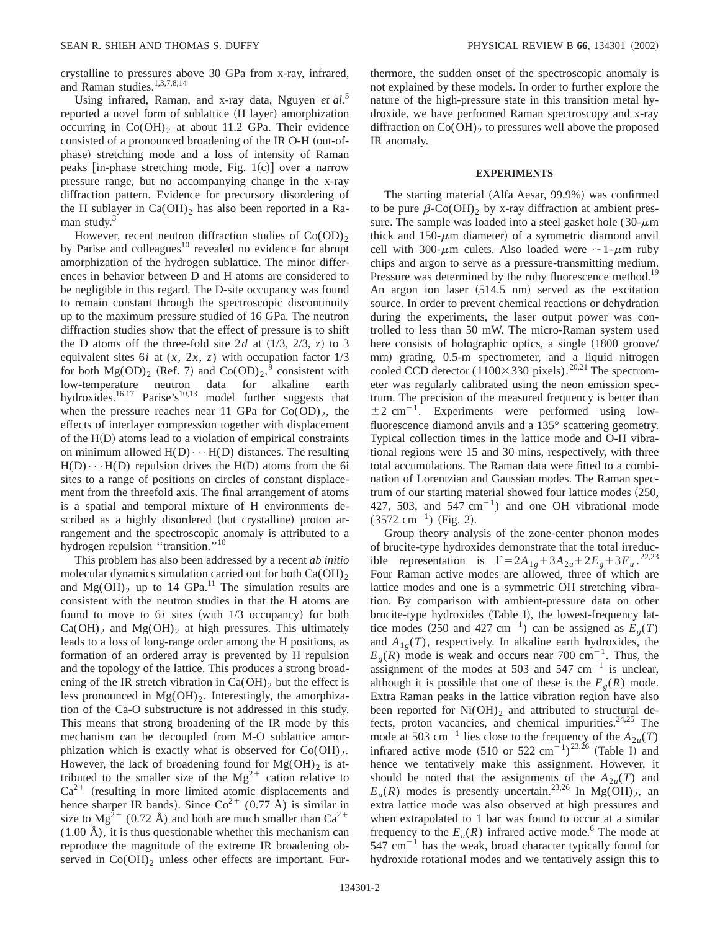crystalline to pressures above 30 GPa from x-ray, infrared, and Raman studies.1,3,7,8,14

Using infrared, Raman, and x-ray data, Nguyen *et al.*<sup>5</sup> reported a novel form of sublattice (H layer) amorphization occurring in  $Co(OH)_2$  at about 11.2 GPa. Their evidence consisted of a pronounced broadening of the IR O-H (out-ofphase) stretching mode and a loss of intensity of Raman peaks [in-phase stretching mode, Fig.  $1(c)$ ] over a narrow pressure range, but no accompanying change in the x-ray diffraction pattern. Evidence for precursory disordering of the H sublayer in  $Ca(OH)_2$  has also been reported in a Raman study.<sup>3</sup>

However, recent neutron diffraction studies of  $Co(OD)_{2}$ by Parise and colleagues $10$  revealed no evidence for abrupt amorphization of the hydrogen sublattice. The minor differences in behavior between D and H atoms are considered to be negligible in this regard. The D-site occupancy was found to remain constant through the spectroscopic discontinuity up to the maximum pressure studied of 16 GPa. The neutron diffraction studies show that the effect of pressure is to shift the D atoms off the three-fold site  $2d$  at  $(1/3, 2/3, z)$  to 3 equivalent sites 6*i* at (*x*, 2*x*, *z*) with occupation factor 1/3 for both  $Mg(OD)_2$  (Ref. 7) and  $Co(OD)_2$ ,  $\overline{9}$  consistent with low-temperature neutron data for alkaline earth hydroxides.<sup>16,17</sup> Parise's<sup>10,13</sup> model further suggests that when the pressure reaches near 11 GPa for  $Co(OD)_{2}$ , the effects of interlayer compression together with displacement of the  $H(D)$  atoms lead to a violation of empirical constraints on minimum allowed  $H(D) \cdots H(D)$  distances. The resulting  $H(D) \cdot \cdot \cdot H(D)$  repulsion drives the  $H(D)$  atoms from the 6i sites to a range of positions on circles of constant displacement from the threefold axis. The final arrangement of atoms is a spatial and temporal mixture of H environments described as a highly disordered (but crystalline) proton arrangement and the spectroscopic anomaly is attributed to a hydrogen repulsion "transition."<sup>10</sup>

This problem has also been addressed by a recent *ab initio* molecular dynamics simulation carried out for both  $Ca(OH)_2$ and  $Mg(OH)$ <sub>2</sub> up to 14 GPa.<sup>11</sup> The simulation results are consistent with the neutron studies in that the H atoms are found to move to  $6i$  sites (with  $1/3$  occupancy) for both  $Ca(OH)$ <sub>2</sub> and Mg( $OH$ )<sub>2</sub> at high pressures. This ultimately leads to a loss of long-range order among the H positions, as formation of an ordered array is prevented by H repulsion and the topology of the lattice. This produces a strong broadening of the IR stretch vibration in  $Ca(OH)_2$  but the effect is less pronounced in  $Mg(OH)_2$ . Interestingly, the amorphization of the Ca-O substructure is not addressed in this study. This means that strong broadening of the IR mode by this mechanism can be decoupled from M-O sublattice amorphization which is exactly what is observed for  $Co(OH)_{2}$ . However, the lack of broadening found for  $Mg(OH)_2$  is attributed to the smaller size of the  $Mg^{2+}$  cation relative to  $Ca<sup>2+</sup>$  (resulting in more limited atomic displacements and hence sharper IR bands). Since  $Co^{2+}$  (0.77 Å) is similar in size to  $Mg^{2+}$  (0.72 Å) and both are much smaller than  $Ca^{2+}$  $(1.00 \text{ Å})$ , it is thus questionable whether this mechanism can reproduce the magnitude of the extreme IR broadening observed in  $Co(OH)$ <sub>2</sub> unless other effects are important. Furthermore, the sudden onset of the spectroscopic anomaly is not explained by these models. In order to further explore the nature of the high-pressure state in this transition metal hydroxide, we have performed Raman spectroscopy and x-ray diffraction on  $Co(OH)<sub>2</sub>$  to pressures well above the proposed IR anomaly.

## **EXPERIMENTS**

The starting material (Alfa Aesar, 99.9%) was confirmed to be pure  $\beta$ -Co(OH)<sub>2</sub> by x-ray diffraction at ambient pressure. The sample was loaded into a steel gasket hole  $(30 \text{-} \mu \text{m})$ thick and 150- $\mu$ m diameter) of a symmetric diamond anvil cell with 300- $\mu$ m culets. Also loaded were  $\sim$ 1- $\mu$ m ruby chips and argon to serve as a pressure-transmitting medium. Pressure was determined by the ruby fluorescence method.<sup>19</sup> An argon ion laser  $(514.5 \text{ nm})$  served as the excitation source. In order to prevent chemical reactions or dehydration during the experiments, the laser output power was controlled to less than 50 mW. The micro-Raman system used here consists of holographic optics, a single  $(1800 \text{ groove/}$ mm) grating, 0.5-m spectrometer, and a liquid nitrogen cooled CCD detector (1100 $\times$ 330 pixels).<sup>20,21</sup> The spectrometer was regularly calibrated using the neon emission spectrum. The precision of the measured frequency is better than  $\pm 2$  cm<sup>-1</sup>. Experiments were performed using lowfluorescence diamond anvils and a 135° scattering geometry. Typical collection times in the lattice mode and O-H vibrational regions were 15 and 30 mins, respectively, with three total accumulations. The Raman data were fitted to a combination of Lorentzian and Gaussian modes. The Raman spectrum of our starting material showed four lattice modes  $(250,$ 427, 503, and 547  $\text{cm}^{-1}$ ) and one OH vibrational mode  $(3572 cm^{-1})$  (Fig. 2).

Group theory analysis of the zone-center phonon modes of brucite-type hydroxides demonstrate that the total irreducible representation is  $\Gamma = 2A_{1g} + 3A_{2u} + 2E_g + 3E_u$ .<sup>22,23</sup> Four Raman active modes are allowed, three of which are lattice modes and one is a symmetric OH stretching vibration. By comparison with ambient-pressure data on other brucite-type hydroxides (Table I), the lowest-frequency lattice modes  $(250 \text{ and } 427 \text{ cm}^{-1})$  can be assigned as  $E<sub>o</sub>(T)$ and  $A_{1g}(T)$ , respectively. In alkaline earth hydroxides, the  $E<sub>g</sub>(R)$  mode is weak and occurs near 700 cm<sup>-1</sup>. Thus, the assignment of the modes at 503 and 547  $cm^{-1}$  is unclear, although it is possible that one of these is the  $E<sub>g</sub>(R)$  mode. Extra Raman peaks in the lattice vibration region have also been reported for  $Ni(OH)_2$  and attributed to structural defects, proton vacancies, and chemical impurities. $24.25$  The mode at 503 cm<sup>-1</sup> lies close to the frequency of the  $A_{2u}(T)$ infrared active mode (510 or 522 cm<sup>-1</sup>)<sup>23,26</sup> (Table I) and hence we tentatively make this assignment. However, it should be noted that the assignments of the  $A_{2u}(T)$  and  $E_u(R)$  modes is presently uncertain.<sup>23,26</sup> In Mg(OH)<sub>2</sub>, an extra lattice mode was also observed at high pressures and when extrapolated to 1 bar was found to occur at a similar frequency to the  $E_u(R)$  infrared active mode.<sup>6</sup> The mode at  $547 \text{ cm}^{-1}$  has the weak, broad character typically found for hydroxide rotational modes and we tentatively assign this to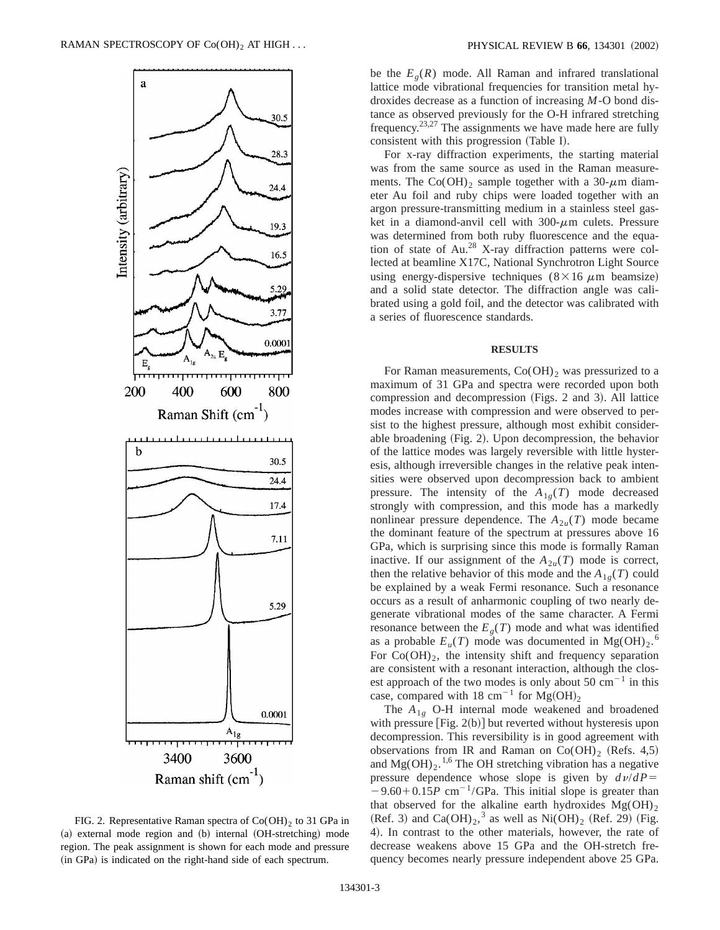

FIG. 2. Representative Raman spectra of  $Co(OH)_2$  to 31 GPa in (a) external mode region and (b) internal (OH-stretching) mode region. The peak assignment is shown for each mode and pressure (in GPa) is indicated on the right-hand side of each spectrum.

be the  $E_{\varrho}(R)$  mode. All Raman and infrared translational lattice mode vibrational frequencies for transition metal hydroxides decrease as a function of increasing *M*-O bond distance as observed previously for the O-H infrared stretching frequency.<sup>23,27</sup> The assignments we have made here are fully consistent with this progression (Table I).

For x-ray diffraction experiments, the starting material was from the same source as used in the Raman measurements. The Co(OH)<sub>2</sub> sample together with a 30- $\mu$ m diameter Au foil and ruby chips were loaded together with an argon pressure-transmitting medium in a stainless steel gasket in a diamond-anvil cell with  $300-\mu m$  culets. Pressure was determined from both ruby fluorescence and the equation of state of Au.<sup>28</sup> X-ray diffraction patterns were collected at beamline X17C, National Synchrotron Light Source using energy-dispersive techniques  $(8 \times 16 \mu m)$  beamsize) and a solid state detector. The diffraction angle was calibrated using a gold foil, and the detector was calibrated with a series of fluorescence standards.

#### **RESULTS**

For Raman measurements,  $Co(OH)$ <sub>2</sub> was pressurized to a maximum of 31 GPa and spectra were recorded upon both compression and decompression  $(Figs. 2$  and 3). All lattice modes increase with compression and were observed to persist to the highest pressure, although most exhibit considerable broadening  $(Fig. 2)$ . Upon decompression, the behavior of the lattice modes was largely reversible with little hysteresis, although irreversible changes in the relative peak intensities were observed upon decompression back to ambient pressure. The intensity of the  $A_{1g}(T)$  mode decreased strongly with compression, and this mode has a markedly nonlinear pressure dependence. The  $A_{2*u*}(T)$  mode became the dominant feature of the spectrum at pressures above 16 GPa, which is surprising since this mode is formally Raman inactive. If our assignment of the  $A_{2u}(T)$  mode is correct, then the relative behavior of this mode and the  $A_{1g}(T)$  could be explained by a weak Fermi resonance. Such a resonance occurs as a result of anharmonic coupling of two nearly degenerate vibrational modes of the same character. A Fermi resonance between the  $E<sub>g</sub>(T)$  mode and what was identified as a probable  $E_u(T)$  mode was documented in Mg(OH)<sub>2</sub>.<sup>6</sup> For  $Co(OH)_2$ , the intensity shift and frequency separation are consistent with a resonant interaction, although the closest approach of the two modes is only about 50  $\text{cm}^{-1}$  in this case, compared with 18 cm<sup>-1</sup> for Mg(OH)<sub>2</sub>

The  $A_{1g}$  O-H internal mode weakened and broadened with pressure  $[Fig. 2(b)]$  but reverted without hysteresis upon decompression. This reversibility is in good agreement with observations from IR and Raman on  $Co(OH)_2$  (Refs. 4,5) and  $Mg(OH)_2$ .<sup>1,6</sup> The OH stretching vibration has a negative pressure dependence whose slope is given by  $d\nu/dP =$  $-9.60+0.15P$  cm<sup>-1</sup>/GPa. This initial slope is greater than that observed for the alkaline earth hydroxides  $Mg(OH)_{2}$ (Ref. 3) and Ca(OH)<sub>2</sub>,<sup>3</sup> as well as Ni(OH)<sub>2</sub> (Ref. 29) (Fig. 4). In contrast to the other materials, however, the rate of decrease weakens above 15 GPa and the OH-stretch frequency becomes nearly pressure independent above 25 GPa.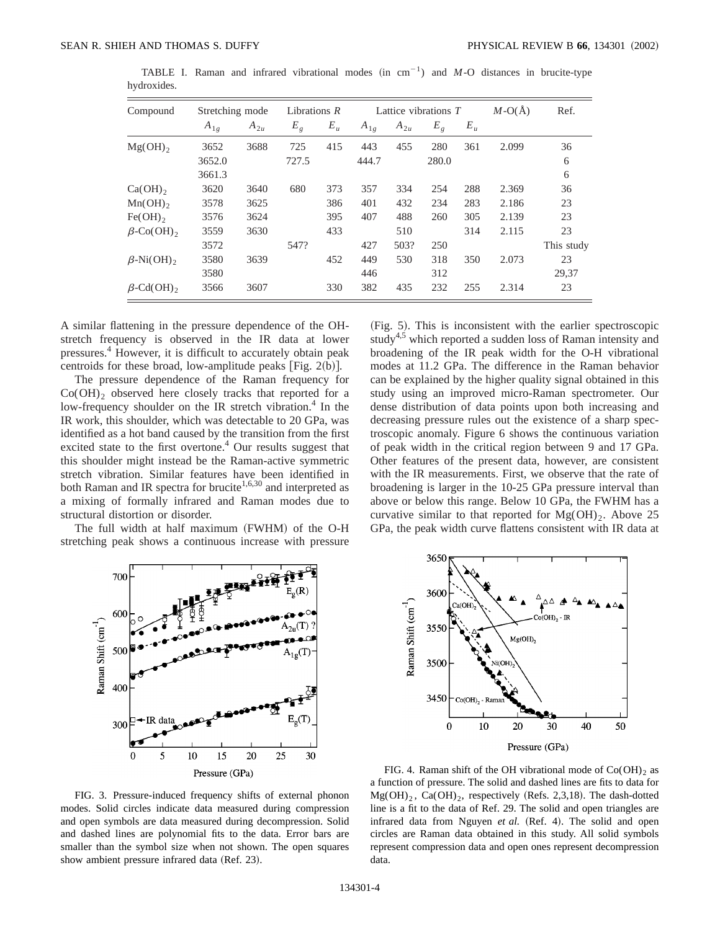| Compound         |          | Lattice vibrations $T$<br>Stretching mode<br>Librations $R$ |         |       |          | $M-O(\AA)$ | Ref.  |       |       |            |
|------------------|----------|-------------------------------------------------------------|---------|-------|----------|------------|-------|-------|-------|------------|
|                  | $A_{1g}$ | $A_{2u}$                                                    | $E_{g}$ | $E_u$ | $A_{1g}$ | $A_{2u}$   | $E_g$ | $E_u$ |       |            |
| $Mg(OH)$ ,       | 3652     | 3688                                                        | 725     | 415   | 443      | 455        | 280   | 361   | 2.099 | 36         |
|                  | 3652.0   |                                                             | 727.5   |       | 444.7    |            | 280.0 |       |       | 6          |
|                  | 3661.3   |                                                             |         |       |          |            |       |       |       | 6          |
| $Ca(OH)$ ,       | 3620     | 3640                                                        | 680     | 373   | 357      | 334        | 254   | 288   | 2.369 | 36         |
| $Mn(OH)$ ,       | 3578     | 3625                                                        |         | 386   | 401      | 432        | 234   | 283   | 2.186 | 23         |
| $Fe(OH)_{2}$     | 3576     | 3624                                                        |         | 395   | 407      | 488        | 260   | 305   | 2.139 | 23         |
| $\beta$ -Co(OH), | 3559     | 3630                                                        |         | 433   |          | 510        |       | 314   | 2.115 | 23         |
|                  | 3572     |                                                             | 547?    |       | 427      | 503?       | 250   |       |       | This study |
| $\beta$ -Ni(OH), | 3580     | 3639                                                        |         | 452   | 449      | 530        | 318   | 350   | 2.073 | 23         |
|                  | 3580     |                                                             |         |       | 446      |            | 312   |       |       | 29,37      |
| $\beta$ -Cd(OH), | 3566     | 3607                                                        |         | 330   | 382      | 435        | 232   | 255   | 2.314 | 23         |

TABLE I. Raman and infrared vibrational modes  $(in cm^{-1})$  and *M*-O distances in brucite-type hydroxides.

A similar flattening in the pressure dependence of the OHstretch frequency is observed in the IR data at lower pressures.4 However, it is difficult to accurately obtain peak centroids for these broad, low-amplitude peaks [Fig.  $2(b)$ ].

The pressure dependence of the Raman frequency for  $Co(OH)$ <sub>2</sub> observed here closely tracks that reported for a low-frequency shoulder on the IR stretch vibration.<sup>4</sup> In the IR work, this shoulder, which was detectable to 20 GPa, was identified as a hot band caused by the transition from the first excited state to the first overtone.<sup>4</sup> Our results suggest that this shoulder might instead be the Raman-active symmetric stretch vibration. Similar features have been identified in both Raman and IR spectra for brucite<sup>1,6,30</sup> and interpreted as a mixing of formally infrared and Raman modes due to structural distortion or disorder.

The full width at half maximum (FWHM) of the O-H stretching peak shows a continuous increase with pressure (Fig. 5). This is inconsistent with the earlier spectroscopic study<sup>4,5</sup> which reported a sudden loss of Raman intensity and broadening of the IR peak width for the O-H vibrational modes at 11.2 GPa. The difference in the Raman behavior can be explained by the higher quality signal obtained in this study using an improved micro-Raman spectrometer. Our dense distribution of data points upon both increasing and decreasing pressure rules out the existence of a sharp spectroscopic anomaly. Figure 6 shows the continuous variation of peak width in the critical region between 9 and 17 GPa. Other features of the present data, however, are consistent with the IR measurements. First, we observe that the rate of broadening is larger in the 10-25 GPa pressure interval than above or below this range. Below 10 GPa, the FWHM has a curvative similar to that reported for  $Mg(OH)_2$ . Above 25 GPa, the peak width curve flattens consistent with IR data at



FIG. 3. Pressure-induced frequency shifts of external phonon modes. Solid circles indicate data measured during compression and open symbols are data measured during decompression. Solid and dashed lines are polynomial fits to the data. Error bars are smaller than the symbol size when not shown. The open squares show ambient pressure infrared data (Ref. 23).



FIG. 4. Raman shift of the OH vibrational mode of  $Co(OH)<sub>2</sub>$  as a function of pressure. The solid and dashed lines are fits to data for  $Mg(OH)_2$ , Ca $(OH)_2$ , respectively (Refs. 2,3,18). The dash-dotted line is a fit to the data of Ref. 29. The solid and open triangles are infrared data from Nguyen et al. (Ref. 4). The solid and open circles are Raman data obtained in this study. All solid symbols represent compression data and open ones represent decompression data.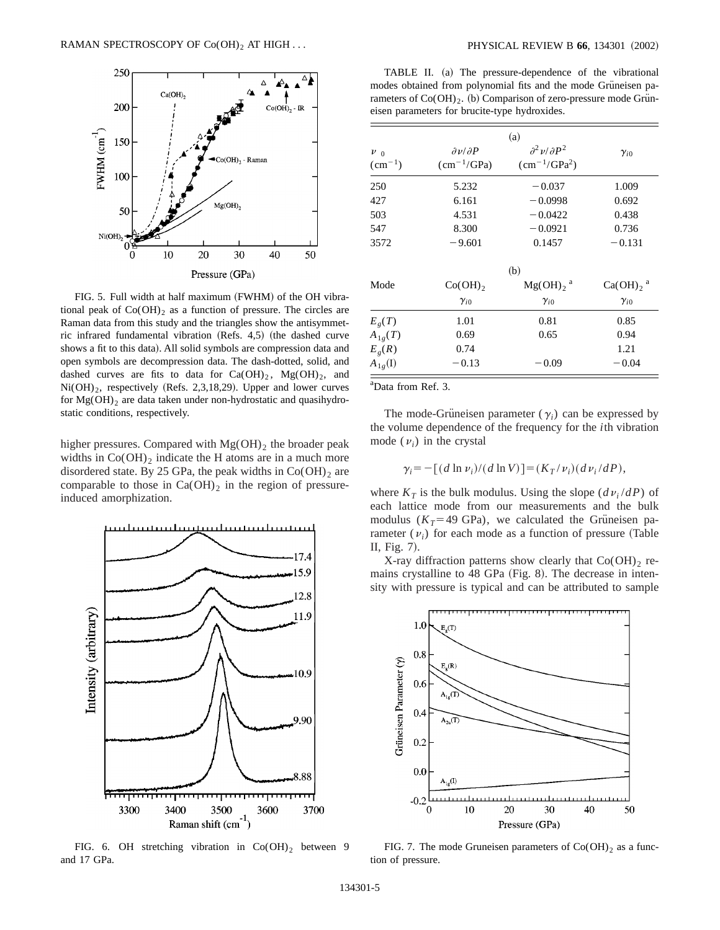

FIG. 5. Full width at half maximum (FWHM) of the OH vibrational peak of  $Co(OH)_{2}$  as a function of pressure. The circles are Raman data from this study and the triangles show the antisymmetric infrared fundamental vibration (Refs.  $4,5$ ) (the dashed curve shows a fit to this data). All solid symbols are compression data and open symbols are decompression data. The dash-dotted, solid, and dashed curves are fits to data for  $Ca(OH)_2$ ,  $Mg(OH)_2$ , and  $Ni(OH)_2$ , respectively (Refs. 2,3,18,29). Upper and lower curves for  $Mg(OH)$ <sub>2</sub> are data taken under non-hydrostatic and quasihydrostatic conditions, respectively.

higher pressures. Compared with  $Mg(OH)_2$  the broader peak widths in  $Co(OH)_2$  indicate the H atoms are in a much more disordered state. By 25 GPa, the peak widths in  $Co(OH)<sub>2</sub>$  are comparable to those in  $Ca(OH)_2$  in the region of pressureinduced amorphization.



FIG. 6. OH stretching vibration in  $Co(OH)_2$  between 9 and 17 GPa.

TABLE II. (a) The pressure-dependence of the vibrational modes obtained from polynomial fits and the mode Grüneisen parameters of  $Co(OH)_{2}$ . (b) Comparison of zero-pressure mode Gruneisen parameters for brucite-type hydroxides.

|                      |                               | (a)                         |                         |
|----------------------|-------------------------------|-----------------------------|-------------------------|
| $\nu_{0}$            | $\partial v/\partial P$       | $\partial^2 v/\partial P^2$ | $\gamma_{i0}$           |
| $\rm (cm^{-1})$      | $\text{(cm}^{-1}/\text{GPa})$ | $(cm^{-1}/\text{GPa}^2)$    |                         |
| 250                  | 5.232                         | $-0.037$                    | 1.009                   |
| 427                  | 6.161                         | $-0.0998$                   | 0.692                   |
| 503                  | 4.531                         | $-0.0422$                   | 0.438                   |
| 547                  | 8.300                         | $-0.0921$                   | 0.736                   |
| 3572                 | $-9.601$                      | 0.1457                      | $-0.131$                |
|                      |                               | (b)                         |                         |
| Mode                 | $Co(OH)_{2}$                  | $Mg(OH)$ , $^a$             | $Ca(OH)_2$ <sup>a</sup> |
|                      | $\gamma_{i0}$                 | $\gamma_{i0}$               | $\gamma_{i0}$           |
| $E_{g}(T)$           | 1.01                          | 0.81                        | 0.85                    |
| $A_{1g}(T)$          | 0.69                          | 0.65                        | 0.94                    |
| $E_g(R)$             | 0.74                          |                             | 1.21                    |
| $A_{1g}(\mathbf{I})$ | $-0.13$                       | $-0.09$                     | $-0.04$                 |

a Data from Ref. 3.

The mode-Grüneisen parameter  $(\gamma_i)$  can be expressed by the volume dependence of the frequency for the *i*th vibration mode  $(v_i)$  in the crystal

$$
\gamma_i = -[(d \ln v_i)/(d \ln V)] = (K_T/v_i)(dv_i/dP),
$$

where  $K_T$  is the bulk modulus. Using the slope  $(d\nu_i/dP)$  of each lattice mode from our measurements and the bulk modulus ( $K_T$ =49 GPa), we calculated the Grüneisen parameter  $(v_i)$  for each mode as a function of pressure (Table II, Fig.  $7$ ).

X-ray diffraction patterns show clearly that  $Co(OH)$ <sub>2</sub> remains crystalline to  $48$  GPa (Fig. 8). The decrease in intensity with pressure is typical and can be attributed to sample

![](_page_4_Figure_14.jpeg)

FIG. 7. The mode Gruneisen parameters of  $Co(OH)_2$  as a function of pressure.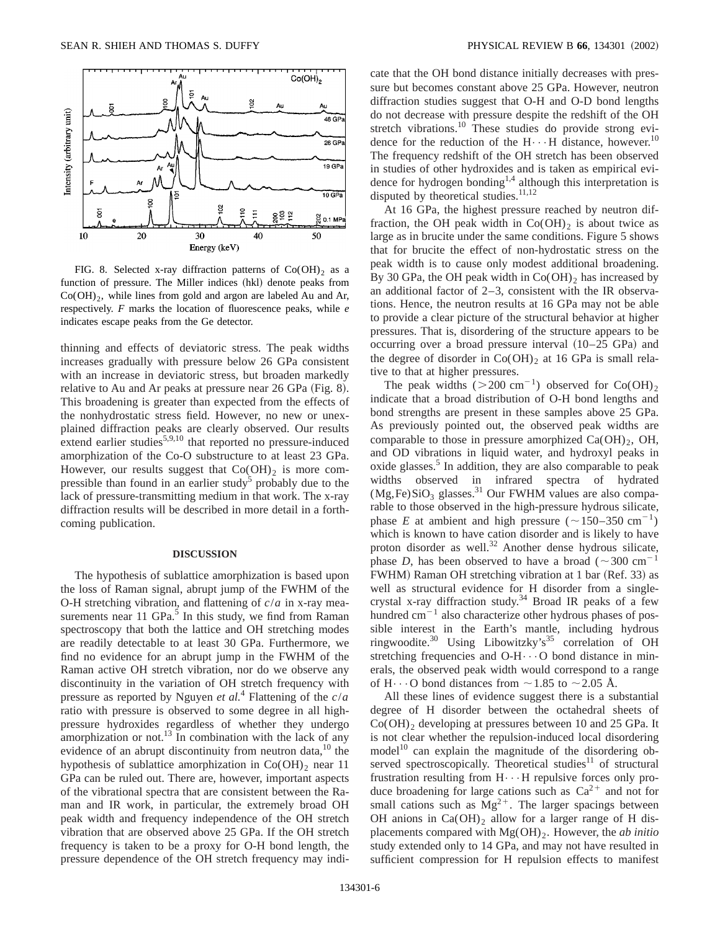![](_page_5_Figure_1.jpeg)

FIG. 8. Selected x-ray diffraction patterns of  $Co(OH)_{2}$  as a function of pressure. The Miller indices (hkl) denote peaks from  $Co(OH)<sub>2</sub>$ , while lines from gold and argon are labeled Au and Ar, respectively. *F* marks the location of fluorescence peaks, while *e* indicates escape peaks from the Ge detector.

thinning and effects of deviatoric stress. The peak widths increases gradually with pressure below 26 GPa consistent with an increase in deviatoric stress, but broaden markedly relative to Au and Ar peaks at pressure near  $26$  GPa (Fig. 8). This broadening is greater than expected from the effects of the nonhydrostatic stress field. However, no new or unexplained diffraction peaks are clearly observed. Our results extend earlier studies $5,9,10$  that reported no pressure-induced amorphization of the Co-O substructure to at least 23 GPa. However, our results suggest that  $Co(OH)$ <sub>2</sub> is more compressible than found in an earlier study<sup>5</sup> probably due to the lack of pressure-transmitting medium in that work. The x-ray diffraction results will be described in more detail in a forthcoming publication.

#### **DISCUSSION**

The hypothesis of sublattice amorphization is based upon the loss of Raman signal, abrupt jump of the FWHM of the O-H stretching vibration, and flattening of *c*/*a* in x-ray measurements near 11  $GPa<sup>5</sup>$  In this study, we find from Raman spectroscopy that both the lattice and OH stretching modes are readily detectable to at least 30 GPa. Furthermore, we find no evidence for an abrupt jump in the FWHM of the Raman active OH stretch vibration, nor do we observe any discontinuity in the variation of OH stretch frequency with pressure as reported by Nguyen *et al.*<sup>4</sup> Flattening of the *c*/*a* ratio with pressure is observed to some degree in all highpressure hydroxides regardless of whether they undergo amorphization or not.<sup>13</sup> In combination with the lack of any evidence of an abrupt discontinuity from neutron data,<sup>10</sup> the hypothesis of sublattice amorphization in  $Co(OH)$ <sub>2</sub> near 11 GPa can be ruled out. There are, however, important aspects of the vibrational spectra that are consistent between the Raman and IR work, in particular, the extremely broad OH peak width and frequency independence of the OH stretch vibration that are observed above 25 GPa. If the OH stretch frequency is taken to be a proxy for O-H bond length, the pressure dependence of the OH stretch frequency may indi-

cate that the OH bond distance initially decreases with pressure but becomes constant above 25 GPa. However, neutron diffraction studies suggest that O-H and O-D bond lengths do not decrease with pressure despite the redshift of the OH stretch vibrations.<sup>10</sup> These studies do provide strong evidence for the reduction of the  $H \cdots H$  distance, however.<sup>10</sup> The frequency redshift of the OH stretch has been observed in studies of other hydroxides and is taken as empirical evidence for hydrogen bonding<sup>1,4</sup> although this interpretation is disputed by theoretical studies. $\frac{11,12}{2}$ 

At 16 GPa, the highest pressure reached by neutron diffraction, the OH peak width in  $Co(OH)$ <sub>2</sub> is about twice as large as in brucite under the same conditions. Figure 5 shows that for brucite the effect of non-hydrostatic stress on the peak width is to cause only modest additional broadening. By 30 GPa, the OH peak width in  $Co(OH)_2$  has increased by an additional factor of 2–3, consistent with the IR observations. Hence, the neutron results at 16 GPa may not be able to provide a clear picture of the structural behavior at higher pressures. That is, disordering of the structure appears to be occurring over a broad pressure interval  $(10-25 \text{ GPa})$  and the degree of disorder in  $Co(OH)_2$  at 16 GPa is small relative to that at higher pressures.

The peak widths ( $>200 \text{ cm}^{-1}$ ) observed for Co(OH)<sub>2</sub> indicate that a broad distribution of O-H bond lengths and bond strengths are present in these samples above 25 GPa. As previously pointed out, the observed peak widths are comparable to those in pressure amorphized  $Ca(OH)_2$ , OH, and OD vibrations in liquid water, and hydroxyl peaks in oxide glasses. $5$  In addition, they are also comparable to peak widths observed in infrared spectra of hydrated  $(Mg,Fe)SiO<sub>3</sub>$  glasses.<sup>31</sup> Our FWHM values are also comparable to those observed in the high-pressure hydrous silicate, phase *E* at ambient and high pressure ( $\sim$ 150–350 cm<sup>-1</sup>) which is known to have cation disorder and is likely to have proton disorder as well. $32$  Another dense hydrous silicate, phase *D*, has been observed to have a broad ( $\sim$ 300 cm<sup>-1</sup> FWHM) Raman OH stretching vibration at 1 bar (Ref. 33) as well as structural evidence for H disorder from a singlecrystal x-ray diffraction study.34 Broad IR peaks of a few hundred  $cm^{-1}$  also characterize other hydrous phases of possible interest in the Earth's mantle, including hydrous ringwoodite.<sup>30</sup> Using Libowitzky's<sup>35</sup> correlation of OH stretching frequencies and  $O-H\cdots O$  bond distance in minerals, the observed peak width would correspond to a range of H $\cdot \cdot \cdot$ O bond distances from  $\sim$  1.85 to  $\sim$  2.05 Å.

All these lines of evidence suggest there is a substantial degree of H disorder between the octahedral sheets of  $Co(OH)$ <sub>2</sub> developing at pressures between 10 and 25 GPa. It is not clear whether the repulsion-induced local disordering model<sup>10</sup> can explain the magnitude of the disordering observed spectroscopically. Theoretical studies<sup>11</sup> of structural frustration resulting from  $H \cdots H$  repulsive forces only produce broadening for large cations such as  $Ca^{2+}$  and not for small cations such as  $Mg^{2+}$ . The larger spacings between OH anions in  $Ca(OH)_2$  allow for a larger range of H displacements compared with Mg(OH)2. However, the *ab initio* study extended only to 14 GPa, and may not have resulted in sufficient compression for H repulsion effects to manifest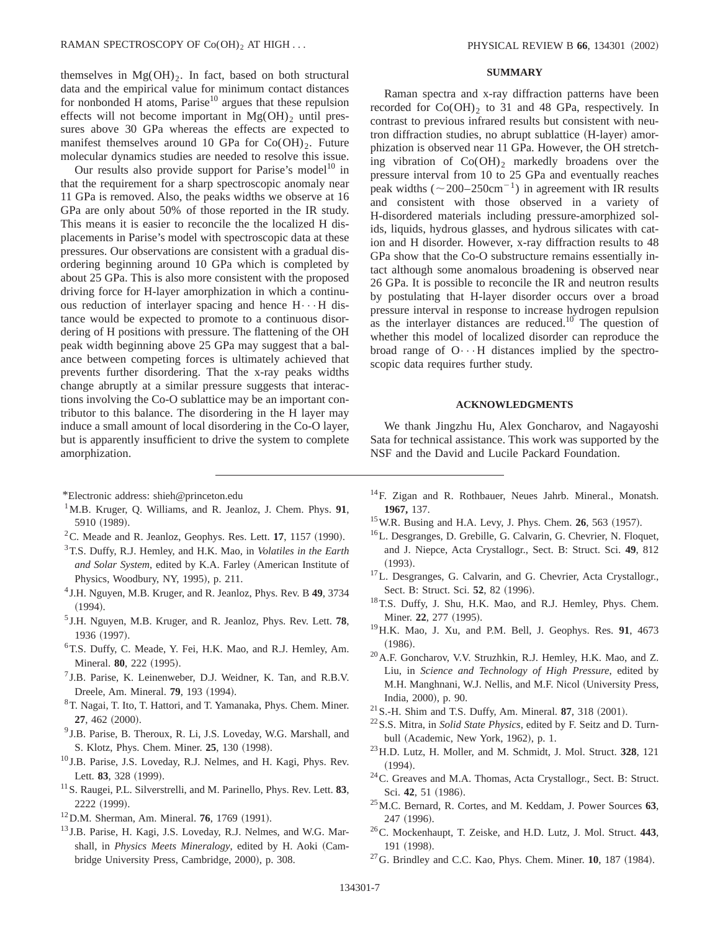themselves in  $Mg(OH)_2$ . In fact, based on both structural data and the empirical value for minimum contact distances for nonbonded H atoms, Parise<sup>10</sup> argues that these repulsion effects will not become important in  $Mg(OH)$ <sub>2</sub> until pressures above 30 GPa whereas the effects are expected to manifest themselves around 10 GPa for  $Co(OH)_{2}$ . Future molecular dynamics studies are needed to resolve this issue.

Our results also provide support for Parise's model<sup>10</sup> in that the requirement for a sharp spectroscopic anomaly near 11 GPa is removed. Also, the peaks widths we observe at 16 GPa are only about 50% of those reported in the IR study. This means it is easier to reconcile the the localized H displacements in Parise's model with spectroscopic data at these pressures. Our observations are consistent with a gradual disordering beginning around 10 GPa which is completed by about 25 GPa. This is also more consistent with the proposed driving force for H-layer amorphization in which a continuous reduction of interlayer spacing and hence  $H \cdot \cdot \cdot H$  distance would be expected to promote to a continuous disordering of H positions with pressure. The flattening of the OH peak width beginning above 25 GPa may suggest that a balance between competing forces is ultimately achieved that prevents further disordering. That the x-ray peaks widths change abruptly at a similar pressure suggests that interactions involving the Co-O sublattice may be an important contributor to this balance. The disordering in the H layer may induce a small amount of local disordering in the Co-O layer, but is apparently insufficient to drive the system to complete amorphization.

- \*Electronic address: shieh@princeton.edu
- 1M.B. Kruger, Q. Williams, and R. Jeanloz, J. Chem. Phys. **91**, 5910 (1989).
- ${}^{2}$ C. Meade and R. Jeanloz, Geophys. Res. Lett. 17, 1157 (1990).
- 3T.S. Duffy, R.J. Hemley, and H.K. Mao, in *Volatiles in the Earth* and Solar System, edited by K.A. Farley (American Institute of Physics, Woodbury, NY, 1995), p. 211.
- <sup>4</sup> J.H. Nguyen, M.B. Kruger, and R. Jeanloz, Phys. Rev. B **49**, 3734  $(1994).$
- <sup>5</sup> J.H. Nguyen, M.B. Kruger, and R. Jeanloz, Phys. Rev. Lett. **78**, 1936 (1997).
- 6T.S. Duffy, C. Meade, Y. Fei, H.K. Mao, and R.J. Hemley, Am. Mineral. **80**, 222 (1995).
- $<sup>7</sup>$  J.B. Parise, K. Leinenweber, D.J. Weidner, K. Tan, and R.B.V.</sup> Dreele, Am. Mineral. **79**, 193 (1994).
- 8T. Nagai, T. Ito, T. Hattori, and T. Yamanaka, Phys. Chem. Miner. **27.** 462 (2000).
- <sup>9</sup> J.B. Parise, B. Theroux, R. Li, J.S. Loveday, W.G. Marshall, and S. Klotz, Phys. Chem. Miner. **25**, 130 (1998).
- <sup>10</sup> J.B. Parise, J.S. Loveday, R.J. Nelmes, and H. Kagi, Phys. Rev. Lett. 83, 328 (1999).
- 11S. Raugei, P.L. Silverstrelli, and M. Parinello, Phys. Rev. Lett. **83**, 2222 (1999).
- <sup>12</sup> D.M. Sherman, Am. Mineral. **76**, 1769 (1991).
- <sup>13</sup> J.B. Parise, H. Kagi, J.S. Loveday, R.J. Nelmes, and W.G. Marshall, in *Physics Meets Mineralogy*, edited by H. Aoki (Cambridge University Press, Cambridge, 2000), p. 308.

## **SUMMARY**

Raman spectra and x-ray diffraction patterns have been recorded for  $Co(OH)_2$  to 31 and 48 GPa, respectively. In contrast to previous infrared results but consistent with neutron diffraction studies, no abrupt sublattice (H-layer) amorphization is observed near 11 GPa. However, the OH stretching vibration of  $Co(OH)_2$  markedly broadens over the pressure interval from 10 to 25 GPa and eventually reaches peak widths ( $\sim$ 200–250cm<sup>-1</sup>) in agreement with IR results and consistent with those observed in a variety of H-disordered materials including pressure-amorphized solids, liquids, hydrous glasses, and hydrous silicates with cation and H disorder. However, x-ray diffraction results to 48 GPa show that the Co-O substructure remains essentially intact although some anomalous broadening is observed near 26 GPa. It is possible to reconcile the IR and neutron results by postulating that H-layer disorder occurs over a broad pressure interval in response to increase hydrogen repulsion as the interlayer distances are reduced.<sup>10</sup> The question of whether this model of localized disorder can reproduce the broad range of  $O \cdot \cdot \cdot H$  distances implied by the spectroscopic data requires further study.

## **ACKNOWLEDGMENTS**

We thank Jingzhu Hu, Alex Goncharov, and Nagayoshi Sata for technical assistance. This work was supported by the NSF and the David and Lucile Packard Foundation.

- <sup>14</sup>F. Zigan and R. Rothbauer, Neues Jahrb. Mineral., Monatsh. **1967,** 137.
- <sup>15</sup> W.R. Busing and H.A. Levy, J. Phys. Chem. **26**, 563 (1957).
- 16L. Desgranges, D. Grebille, G. Calvarin, G. Chevrier, N. Floquet, and J. Niepce, Acta Crystallogr., Sect. B: Struct. Sci. **49**, 812  $(1993).$
- 17L. Desgranges, G. Calvarin, and G. Chevrier, Acta Crystallogr., Sect. B: Struct. Sci. 52, 82 (1996).
- 18T.S. Duffy, J. Shu, H.K. Mao, and R.J. Hemley, Phys. Chem. Miner. 22, 277 (1995).
- 19H.K. Mao, J. Xu, and P.M. Bell, J. Geophys. Res. **91**, 4673  $(1986).$
- 20A.F. Goncharov, V.V. Struzhkin, R.J. Hemley, H.K. Mao, and Z. Liu, in *Science and Technology of High Pressure*, edited by M.H. Manghnani, W.J. Nellis, and M.F. Nicol (University Press, India, 2000), p. 90.
- $21$  S.-H. Shim and T.S. Duffy, Am. Mineral. **87**, 318  $(2001)$ .
- 22S.S. Mitra, in *Solid State Physics*, edited by F. Seitz and D. Turnbull (Academic, New York, 1962), p. 1.
- 23H.D. Lutz, H. Moller, and M. Schmidt, J. Mol. Struct. **328**, 121  $(1994).$
- 24C. Greaves and M.A. Thomas, Acta Crystallogr., Sect. B: Struct. Sci. 42, 51 (1986).
- 25M.C. Bernard, R. Cortes, and M. Keddam, J. Power Sources **63**, 247 (1996).
- 26C. Mockenhaupt, T. Zeiske, and H.D. Lutz, J. Mol. Struct. **443**, 191 (1998).
- $27$ G. Brindley and C.C. Kao, Phys. Chem. Miner. **10**, 187 (1984).